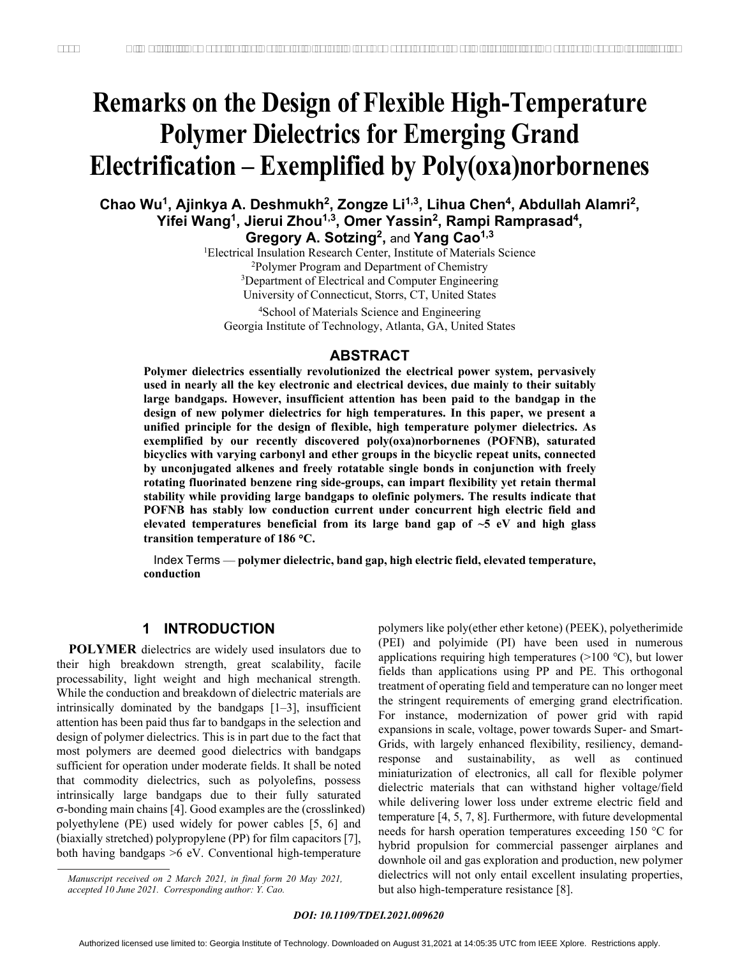# **Remarks on the Design of Flexible High-Temperature Polymer Dielectrics for Emerging Grand Electrification – Exemplified by Poly(oxa)norbornenes**

## Chao Wu<sup>1</sup>, Ajinkya A. Deshmukh<sup>2</sup>, Zongze Li<sup>1,3</sup>, Lihua Chen<sup>4</sup>, Abdullah Alamri<sup>2</sup>, **Yifei Wang1, Jierui Zhou1,3, Omer Yassin2, Rampi Ramprasad4,**

Gregory A. Sotzing<sup>2</sup>, and Yang Cao<sup>1,3</sup>

<sup>1</sup>Electrical Insulation Research Center, Institute of Materials Science<br><sup>2</sup>Polymer Program and Department of Chemistry <sup>2</sup>Polymer Program and Department of Chemistry <sup>3</sup>Department of Electrical and Computer Engineering University of Connecticut, Storrs, CT, United States

4 School of Materials Science and Engineering Georgia Institute of Technology, Atlanta, GA, United States

#### **ABSTRACT**

**Polymer dielectrics essentially revolutionized the electrical power system, pervasively used in nearly all the key electronic and electrical devices, due mainly to their suitably large bandgaps. However, insufficient attention has been paid to the bandgap in the design of new polymer dielectrics for high temperatures. In this paper, we present a unified principle for the design of flexible, high temperature polymer dielectrics. As exemplified by our recently discovered poly(oxa)norbornenes (POFNB), saturated bicyclics with varying carbonyl and ether groups in the bicyclic repeat units, connected by unconjugated alkenes and freely rotatable single bonds in conjunction with freely rotating fluorinated benzene ring side-groups, can impart flexibility yet retain thermal stability while providing large bandgaps to olefinic polymers. The results indicate that POFNB has stably low conduction current under concurrent high electric field and elevated temperatures beneficial from its large band gap of ~5 eV and high glass transition temperature of 186 C.**  *C. P.e.s. d. Bost High-Temperature Comparison Fighter Comparison Comparison Comparison Comparison Comparison Comparison Comparison Comparison Comparison Comparison Comparison Comparison Comparison Comparison Comparison Co* 

 Index Terms — **polymer dielectric, band gap, high electric field, elevated temperature, conduction**

#### **1 INTRODUCTION**

**POLYMER** dielectrics are widely used insulators due to their high breakdown strength, great scalability, facile processability, light weight and high mechanical strength. While the conduction and breakdown of dielectric materials are intrinsically dominated by the bandgaps [1–3], insufficient attention has been paid thus far to bandgaps in the selection and design of polymer dielectrics. This is in part due to the fact that most polymers are deemed good dielectrics with bandgaps sufficient for operation under moderate fields. It shall be noted that commodity dielectrics, such as polyolefins, possess intrinsically large bandgaps due to their fully saturated  $\sigma$ -bonding main chains [4]. Good examples are the (crosslinked) polyethylene (PE) used widely for power cables [5, 6] and (biaxially stretched) polypropylene (PP) for film capacitors [7], both having bandgaps >6 eV. Conventional high-temperature

polymers like poly(ether ether ketone) (PEEK), polyetherimide (PEI) and polyimide (PI) have been used in numerous applications requiring high temperatures (>100 ℃), but lower fields than applications using PP and PE. This orthogonal treatment of operating field and temperature can no longer meet the stringent requirements of emerging grand electrification. For instance, modernization of power grid with rapid expansions in scale, voltage, power towards Super- and Smart-Grids, with largely enhanced flexibility, resiliency, demandresponse and sustainability, as well as continued miniaturization of electronics, all call for flexible polymer dielectric materials that can withstand higher voltage/field while delivering lower loss under extreme electric field and temperature [4, 5, 7, 8]. Furthermore, with future developmental needs for harsh operation temperatures exceeding  $150 °C$  for hybrid propulsion for commercial passenger airplanes and downhole oil and gas exploration and production, new polymer dielectrics will not only entail excellent insulating properties, but also high-temperature resistance [8].

*Manuscript received on 2 March 2021, in final form 20 May 2021, accepted 10 June 2021. Corresponding author: Y. Cao.*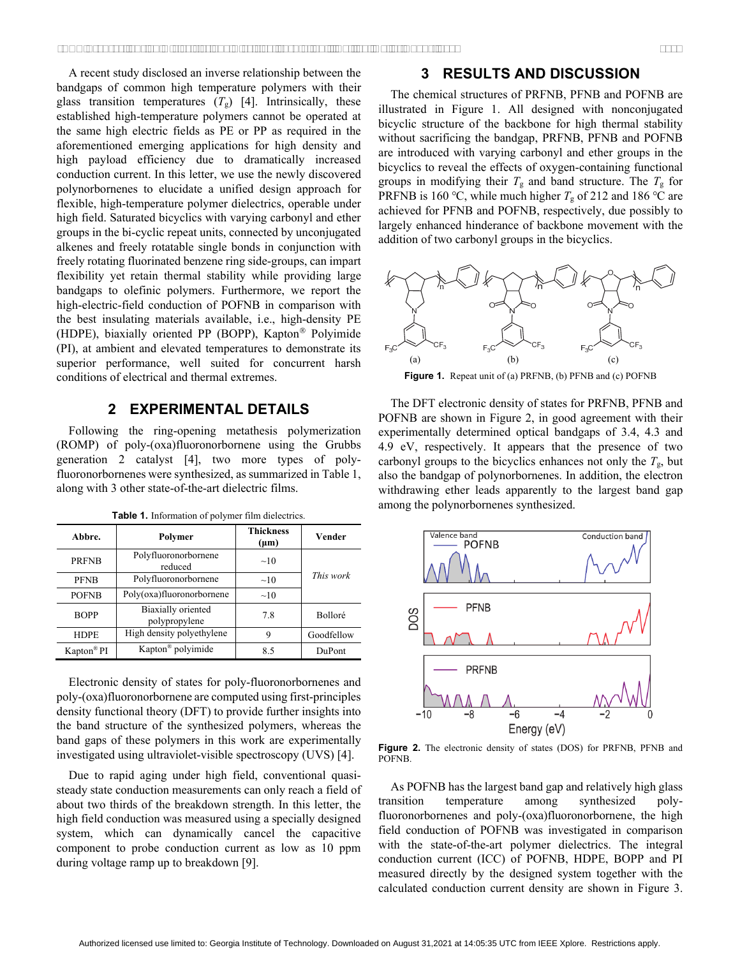A recent study disclosed an inverse relationship between the bandgaps of common high temperature polymers with their glass transition temperatures  $(T_g)$  [4]. Intrinsically, these established high-temperature polymers cannot be operated at the same high electric fields as PE or PP as required in the aforementioned emerging applications for high density and high payload efficiency due to dramatically increased conduction current. In this letter, we use the newly discovered polynorbornenes to elucidate a unified design approach for flexible, high-temperature polymer dielectrics, operable under high field. Saturated bicyclics with varying carbonyl and ether groups in the bi-cyclic repeat units, connected by unconjugated alkenes and freely rotatable single bonds in conjunction with freely rotating fluorinated benzene ring side-groups, can impart flexibility yet retain thermal stability while providing large bandgaps to olefinic polymers. Furthermore, we report the high-electric-field conduction of POFNB in comparison with the best insulating materials available, i.e., high-density PE (HDPE), biaxially oriented PP (BOPP), Kapton<sup>®</sup> Polyimide (PI), at ambient and elevated temperatures to demonstrate its superior performance, well suited for concurrent harsh conditions of electrical and thermal extremes.

#### **2 EXPERIMENTAL DETAILS**

Following the ring-opening metathesis polymerization (ROMP) of poly-(oxa)fluoronorbornene using the Grubbs generation 2 catalyst [4], two more types of polyfluoronorbornenes were synthesized, as summarized in Table 1, along with 3 other state-of-the-art dielectric films.

**Table 1.** Information of polymer film dielectrics.

| Abbre.                 | Polymer                                    | <b>Thickness</b><br>$(\mu m)$ | Vender     |
|------------------------|--------------------------------------------|-------------------------------|------------|
| <b>PRFNB</b>           | Polyfluoronorbornene<br>reduced            | $\sim$ 10                     | This work  |
| <b>PFNB</b>            | Polyfluoronorbornene                       | $\sim 10$                     |            |
| <b>POFNB</b>           | Poly(oxa)fluoronorbornene                  | $\sim$ 10                     |            |
| <b>BOPP</b>            | <b>Biaxially</b> oriented<br>polypropylene | 7.8                           | Bolloré    |
| <b>HDPE</b>            | High density polyethylene                  | 9                             | Goodfellow |
| Kapton <sup>®</sup> PI | Kapton <sup>®</sup> polyimide              | 8.5                           | DuPont     |

Electronic density of states for poly-fluoronorbornenes and poly-(oxa)fluoronorbornene are computed using first-principles density functional theory (DFT) to provide further insights into the band structure of the synthesized polymers, whereas the band gaps of these polymers in this work are experimentally investigated using ultraviolet-visible spectroscopy (UVS) [4].

Due to rapid aging under high field, conventional quasisteady state conduction measurements can only reach a field of about two thirds of the breakdown strength. In this letter, the high field conduction was measured using a specially designed system, which can dynamically cancel the capacitive component to probe conduction current as low as 10 ppm during voltage ramp up to breakdown [9].

#### **3 RESULTS AND DISCUSSION**

The chemical structures of PRFNB, PFNB and POFNB are illustrated in Figure 1. All designed with nonconjugated bicyclic structure of the backbone for high thermal stability without sacrificing the bandgap, PRFNB, PFNB and POFNB are introduced with varying carbonyl and ether groups in the bicyclics to reveal the effects of oxygen-containing functional groups in modifying their  $T_g$  and band structure. The  $T_g$  for PRFNB is 160 °C, while much higher  $T<sub>g</sub>$  of 212 and 186 °C are achieved for PFNB and POFNB, respectively, due possibly to largely enhanced hinderance of backbone movement with the addition of two carbonyl groups in the bicyclics.



**Figure 1.** Repeat unit of (a) PRFNB, (b) PFNB and (c) POFNB

The DFT electronic density of states for PRFNB, PFNB and POFNB are shown in Figure 2, in good agreement with their experimentally determined optical bandgaps of 3.4, 4.3 and 4.9 eV, respectively. It appears that the presence of two carbonyl groups to the bicyclics enhances not only the  $T_{\rm g}$ , but also the bandgap of polynorbornenes. In addition, the electron withdrawing ether leads apparently to the largest band gap among the polynorbornenes synthesized.



**Figure 2.** The electronic density of states (DOS) for PRFNB, PFNB and **POFNB** 

As POFNB has the largest band gap and relatively high glass transition temperature among synthesized polyfluoronorbornenes and poly-(oxa)fluoronorbornene, the high field conduction of POFNB was investigated in comparison with the state-of-the-art polymer dielectrics. The integral conduction current (ICC) of POFNB, HDPE, BOPP and PI measured directly by the designed system together with the calculated conduction current density are shown in Figure 3.